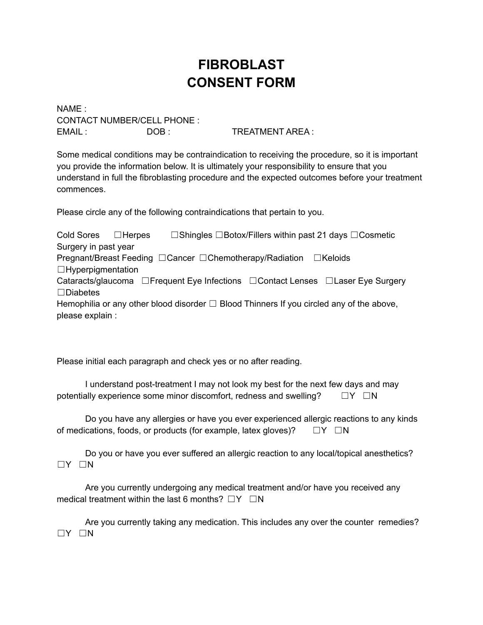## **FIBROBLAST CONSENT FORM**

NAME : CONTACT NUMBER/CELL PHONE : EMAIL : DOB : TREATMENT AREA :

Some medical conditions may be contraindication to receiving the procedure, so it is important you provide the information below. It is ultimately your responsibility to ensure that you understand in full the fibroblasting procedure and the expected outcomes before your treatment commences.

Please circle any of the following contraindications that pertain to you.

Cold Sores <del>□Herpes □Shingles □Botox/Fillers within past 21 days □Cosmetic</del> Surgery in past year Pregnant/Breast Feeding □ Cancer □ Chemotherapy/Radiation □ Keloids  $\Box$ Hyperpigmentation Cataracts/glaucoma □Frequent Eye Infections □Contact Lenses □Laser Eye Surgery ☐Diabetes Hemophilia or any other blood disorder  $\Box$  Blood Thinners If you circled any of the above, please explain :

Please initial each paragraph and check yes or no after reading.

I understand post-treatment I may not look my best for the next few days and may potentially experience some minor discomfort, redness and swelling?  $□Y □N$ 

Do you have any allergies or have you ever experienced allergic reactions to any kinds of medications, foods, or products (for example, latex gloves)?  $\square Y \square N$ 

Do you or have you ever suffered an allergic reaction to any local/topical anesthetics? ☐Y ☐N

Are you currently undergoing any medical treatment and/or have you received any medical treatment within the last 6 months?  $\square Y \square N$ 

Are you currently taking any medication. This includes any over the counter remedies? ☐Y ☐N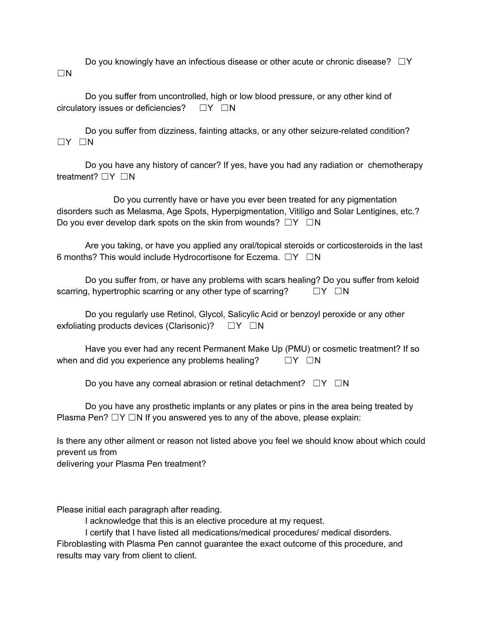Do you knowingly have an infectious disease or other acute or chronic disease?  $□Y$ ☐N

Do you suffer from uncontrolled, high or low blood pressure, or any other kind of circulatory issues or deficiencies? □Y □N

Do you suffer from dizziness, fainting attacks, or any other seizure-related condition? ☐Y ☐N

Do you have any history of cancer? If yes, have you had any radiation or chemotherapy treatment? □Y □N

Do you currently have or have you ever been treated for any pigmentation disorders such as Melasma, Age Spots, Hyperpigmentation, Vitiligo and Solar Lentigines, etc.? Do you ever develop dark spots on the skin from wounds?  $□Y □N$ 

Are you taking, or have you applied any oral/topical steroids or corticosteroids in the last 6 months? This would include Hydrocortisone for Eczema. ☐Y ☐N

Do you suffer from, or have any problems with scars healing? Do you suffer from keloid scarring, hypertrophic scarring or any other type of scarring?  $\square Y \square N$ 

Do you regularly use Retinol, Glycol, Salicylic Acid or benzoyl peroxide or any other exfoliating products devices (Clarisonic)?  $\square Y \square N$ 

Have you ever had any recent Permanent Make Up (PMU) or cosmetic treatment? If so when and did you experience any problems healing?  $\square Y \square N$ 

Do you have any corneal abrasion or retinal detachment?  $\square Y \square N$ 

Do you have any prosthetic implants or any plates or pins in the area being treated by Plasma Pen?  $\Box Y \Box N$  If you answered yes to any of the above, please explain:

Is there any other ailment or reason not listed above you feel we should know about which could prevent us from

delivering your Plasma Pen treatment?

Please initial each paragraph after reading.

I acknowledge that this is an elective procedure at my request.

I certify that I have listed all medications/medical procedures/ medical disorders. Fibroblasting with Plasma Pen cannot guarantee the exact outcome of this procedure, and results may vary from client to client.